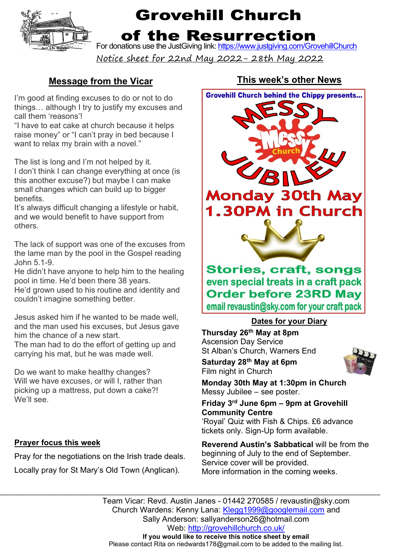

# **Grovehill Church**

### of the Resurrection

For donations use the JustGiving link: https://www.justgiving.com/GrovehillChurch

Notice sheet for 22nd May 2022- 28th May 2022

### **Message from the Vicar**

I'm good at finding excuses to do or not to do things… although I try to justify my excuses and call them 'reasons'!

"I have to eat cake at church because it helps raise money" or "I can't pray in bed because I want to relax my brain with a novel."

The list is long and I'm not helped by it.

I don't think I can change everything at once (is this another excuse?) but maybe I can make small changes which can build up to bigger benefits.

It's always difficult changing a lifestyle or habit, and we would benefit to have support from others.

The lack of support was one of the excuses from the lame man by the pool in the Gospel reading John 5.1-9.

He didn't have anyone to help him to the healing pool in time. He'd been there 38 years.

He'd grown used to his routine and identity and couldn't imagine something better.

Jesus asked him if he wanted to be made well, and the man used his excuses, but Jesus gave him the chance of a new start.

The man had to do the effort of getting up and carrying his mat, but he was made well.

Do we want to make healthy changes? Will we have excuses, or will I, rather than picking up a mattress, put down a cake?! We'll see.

#### **Prayer focus this week**

Pray for the negotiations on the Irish trade deals. Locally pray for St Mary's Old Town (Anglican).

### **This week's other News**



#### **Dates for your Diary**

**Thursday 26th May at 8pm** Ascension Day Service St Alban's Church, Warners End

**Saturday 28th May at 6pm** Film night in Church

**Monday 30th May at 1:30pm in Church** Messy Jubilee – see poster.

#### **Friday 3rd June 6pm – 9pm at Grovehill Community Centre**

'Royal' Quiz with Fish & Chips. £6 advance tickets only. Sign-Up form available.

**Reverend Austin's Sabbatical** will be from the beginning of July to the end of September. Service cover will be provided. More information in the coming weeks.

\_\_\_\_\_\_\_\_\_\_\_\_\_\_\_\_\_\_\_\_\_\_\_\_\_\_\_\_\_\_\_\_\_\_\_\_\_\_\_\_\_\_\_\_\_\_\_\_\_\_\_\_\_\_\_\_\_\_\_\_\_\_\_\_\_\_\_\_\_\_\_\_\_\_\_\_\_\_\_\_\_\_\_\_\_\_\_\_\_\_\_\_\_\_\_\_\_\_\_\_\_\_\_\_\_\_\_\_\_\_\_\_\_\_\_\_\_\_\_\_\_\_\_\_\_ Team Vicar: Revd. Austin Janes - 01442 270585 / revaustin@sky.com Church Wardens: Kenny Lana: Klegg1999@googlemail.com and Sally Anderson: sallyanderson26@hotmail.com Web: http://grovehillchurch.co.uk/ **If you would like to receive this notice sheet by email** Please contact Rita on riedwards178@gmail.com to be added to the mailing list.